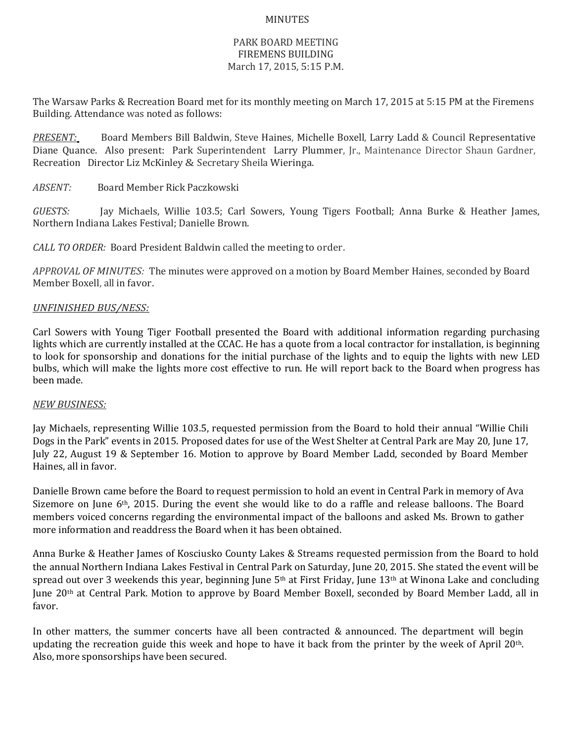## MINUTES

## PARK BOARD MEETING FIREMENS BUILDING March 17, 2015, 5:15 P.M.

The Warsaw Parks & Recreation Board met for its monthly meeting on March 17, 2015 at 5:15 PM at the Firemens Building. Attendance was noted as follows:

*PRESENT:* Board Members Bill Baldwin, Steve Haines, Michelle Boxell, Larry Ladd & Council Representative Diane Quance. Also present: Park Superintendent Larry Plummer, Jr., Maintenance Director Shaun Gardner, Recreation Director Liz McKinley & Secretary Sheila Wieringa.

*ABSENT:* Board Member Rick Paczkowski

*GUESTS:* Jay Michaels, Willie 103.5; Carl Sowers, Young Tigers Football; Anna Burke & Heather James, Northern Indiana Lakes Festival; Danielle Brown.

*CALL TO ORDER:* Board President Baldwin called the meeting to order.

*APPROVAL OF MINUTES:* The minutes were approved on a motion by Board Member Haines, seconded by Board Member Boxell, all in favor.

## *UNFINISHED BUS/NESS:*

Carl Sowers with Young Tiger Football presented the Board with additional information regarding purchasing lights which are currently installed at the CCAC. He has a quote from a local contractor for installation, is beginning to look for sponsorship and donations for the initial purchase of the lights and to equip the lights with new LED bulbs, which will make the lights more cost effective to run. He will report back to the Board when progress has been made.

## *NEW BUSINESS:*

Jay Michaels, representing Willie 103.5, requested permission from the Board to hold their annual "Willie Chili Dogs in the Park" events in 2015. Proposed dates for use of the West Shelter at Central Park are May 20, June 17, July 22, August 19 & September 16. Motion to approve by Board Member Ladd, seconded by Board Member Haines, all in favor.

Danielle Brown came before the Board to request permission to hold an event in Central Park in memory of Ava Sizemore on June 6th, 2015. During the event she would like to do a raffle and release balloons. The Board members voiced concerns regarding the environmental impact of the balloons and asked Ms. Brown to gather more information and readdress the Board when it has been obtained.

Anna Burke & Heather James of Kosciusko County Lakes & Streams requested permission from the Board to hold the annual Northern Indiana Lakes Festival in Central Park on Saturday, June 20, 2015. She stated the event will be spread out over 3 weekends this year, beginning June  $5<sup>th</sup>$  at First Friday, June  $13<sup>th</sup>$  at Winona Lake and concluding June 20th at Central Park. Motion to approve by Board Member Boxell, seconded by Board Member Ladd, all in favor.

In other matters, the summer concerts have all been contracted & announced. The department will begin updating the recreation guide this week and hope to have it back from the printer by the week of April  $20<sup>th</sup>$ . Also, more sponsorships have been secured.